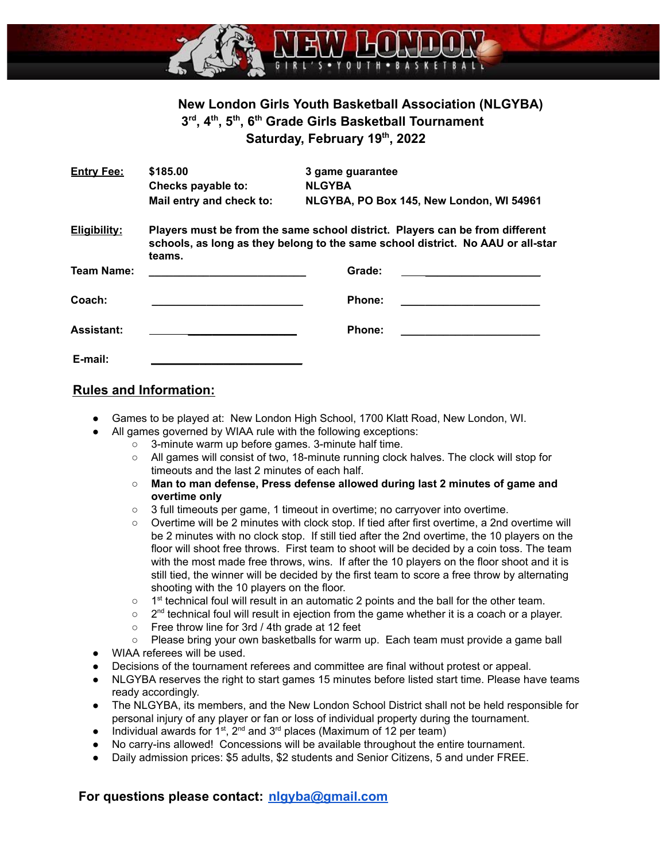

# **New London Girls Youth Basketball Association (NLGYBA) 3 rd , 4th , 5th , 6th Grade Girls Basketball Tournament Saturday, February 19th , 2022**

| <b>Entry Fee:</b>   | \$185.00<br>Checks payable to:                                                                                                                                            | 3 game guarantee<br><b>NLGYBA</b>        |  |
|---------------------|---------------------------------------------------------------------------------------------------------------------------------------------------------------------------|------------------------------------------|--|
|                     | Mail entry and check to:                                                                                                                                                  | NLGYBA, PO Box 145, New London, WI 54961 |  |
| <b>Eligibility:</b> | Players must be from the same school district. Players can be from different<br>schools, as long as they belong to the same school district. No AAU or all-star<br>teams. |                                          |  |
| <b>Team Name:</b>   |                                                                                                                                                                           | Grade:                                   |  |
| Coach:              |                                                                                                                                                                           | <b>Phone:</b>                            |  |
| <b>Assistant:</b>   |                                                                                                                                                                           | Phone:                                   |  |
| E-mail:             |                                                                                                                                                                           |                                          |  |

#### **Rules and Information:**

- Games to be played at: New London High School, 1700 Klatt Road, New London, WI.
	- All games governed by WIAA rule with the following exceptions:
		- 3-minute warm up before games. 3-minute half time.
		- All games will consist of two, 18-minute running clock halves. The clock will stop for timeouts and the last 2 minutes of each half.
		- **Man to man defense, Press defense allowed during last 2 minutes of game and overtime only**
		- 3 full timeouts per game, 1 timeout in overtime; no carryover into overtime.
		- Overtime will be 2 minutes with clock stop. If tied after first overtime, a 2nd overtime will be 2 minutes with no clock stop. If still tied after the 2nd overtime, the 10 players on the floor will shoot free throws. First team to shoot will be decided by a coin toss. The team with the most made free throws, wins. If after the 10 players on the floor shoot and it is still tied, the winner will be decided by the first team to score a free throw by alternating shooting with the 10 players on the floor.
		- $\circ$  1<sup>st</sup> technical foul will result in an automatic 2 points and the ball for the other team.
		- $\circ$  2<sup>nd</sup> technical foul will result in ejection from the game whether it is a coach or a player.
		- Free throw line for 3rd / 4th grade at 12 feet
		- Please bring your own basketballs for warm up. Each team must provide a game ball
- WIAA referees will be used.
- Decisions of the tournament referees and committee are final without protest or appeal.
- NLGYBA reserves the right to start games 15 minutes before listed start time. Please have teams ready accordingly.
- The NLGYBA, its members, and the New London School District shall not be held responsible for personal injury of any player or fan or loss of individual property during the tournament.
- Individual awards for 1<sup>st</sup>, 2<sup>nd</sup> and 3<sup>rd</sup> places (Maximum of 12 per team)
- No carry-ins allowed! Concessions will be available throughout the entire tournament.
- Daily admission prices: \$5 adults, \$2 students and Senior Citizens, 5 and under FREE.

#### **For questions please contact: [nlgyba@gmail.com](mailto:nlgyba@gmail.com)**